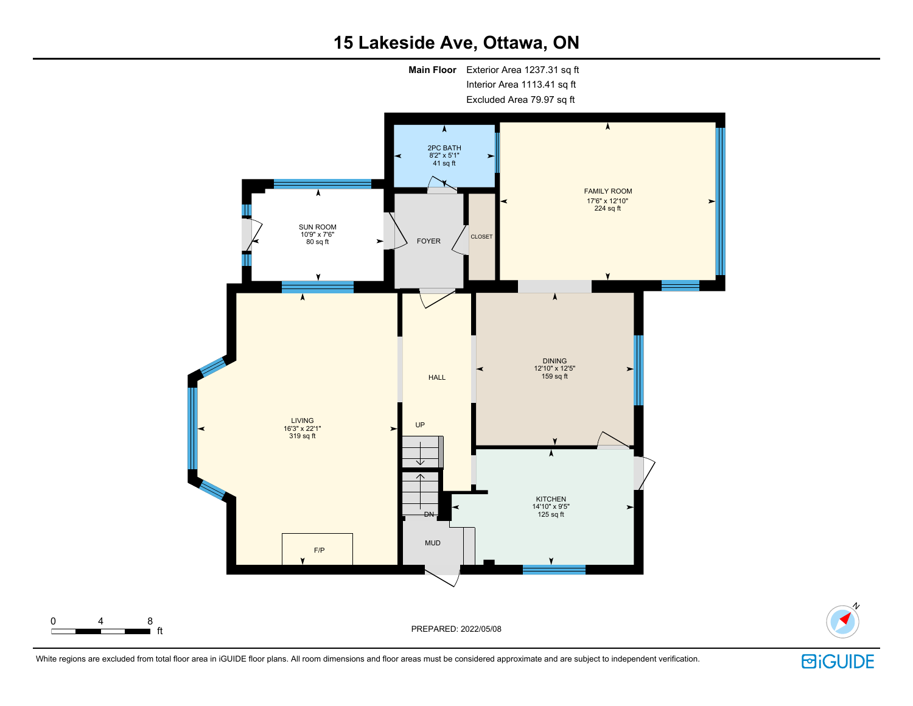## 15 Lakeside Ave, Ottawa, ON



White regions are excluded from total floor area in iGUIDE floor plans. All room dimensions and floor areas must be considered approximate and are subject to independent verification.



N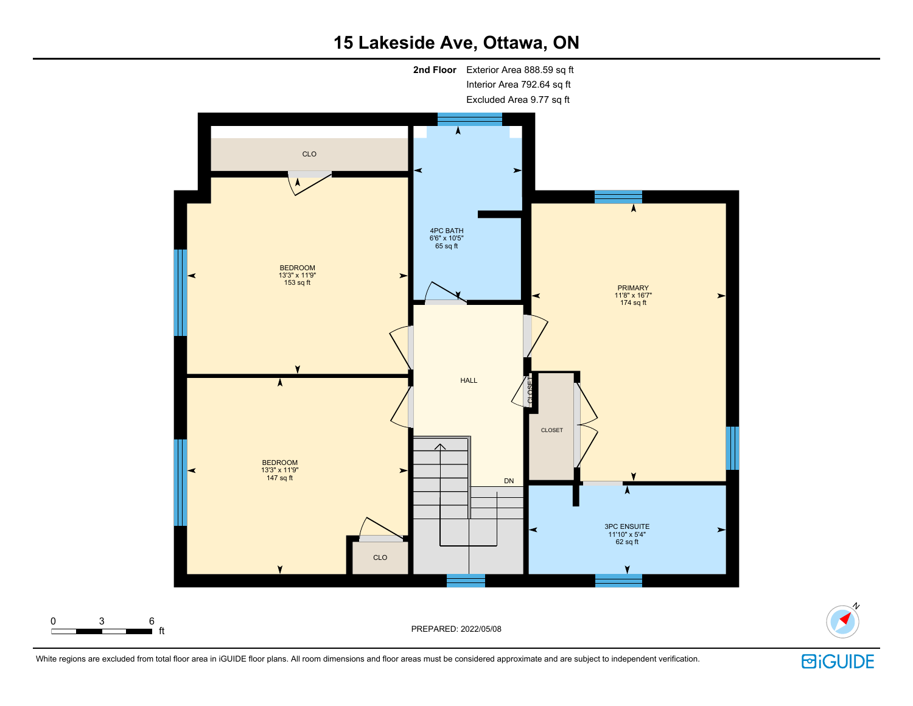## 15 Lakeside Ave, Ottawa, ON



**回iGUIDE** 

N